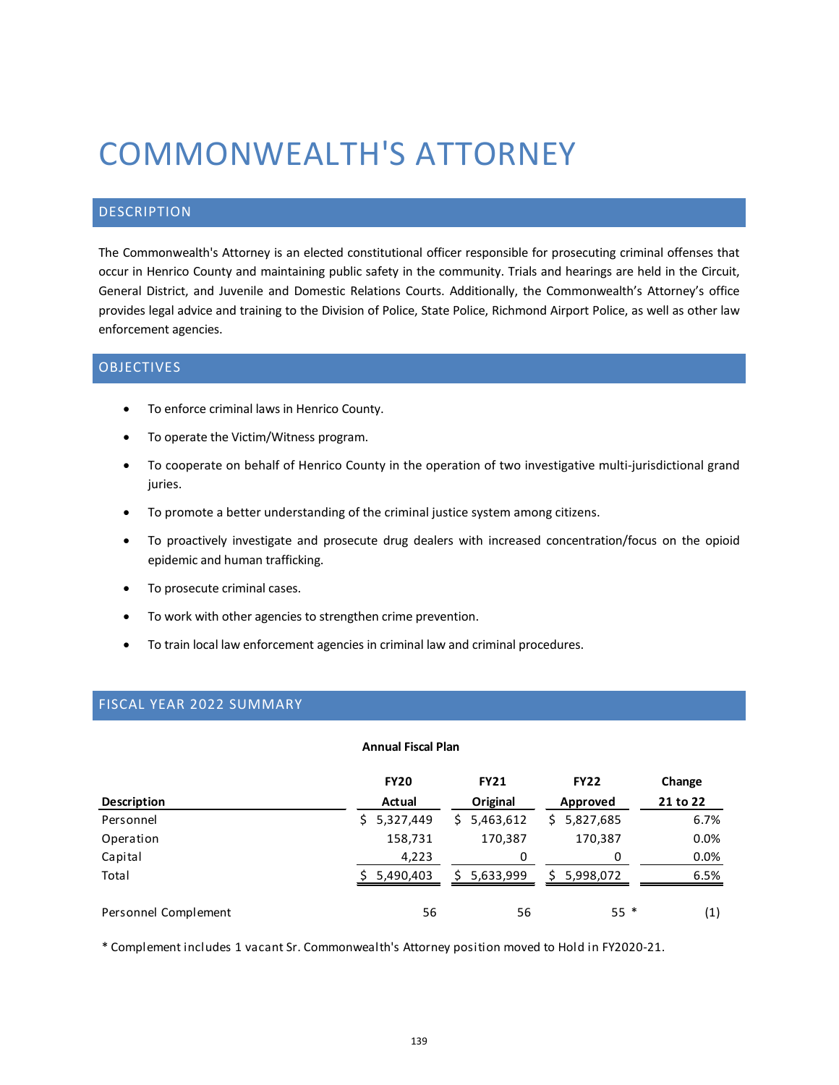# COMMONWEALTH'S ATTORNEY

## DESCRIPTION

The Commonwealth's Attorney is an elected constitutional officer responsible for prosecuting criminal offenses that occur in Henrico County and maintaining public safety in the community. Trials and hearings are held in the Circuit, General District, and Juvenile and Domestic Relations Courts. Additionally, the Commonwealth's Attorney's office provides legal advice and training to the Division of Police, State Police, Richmond Airport Police, as well as other law enforcement agencies.

### OBJECTIVES

- To enforce criminal laws in Henrico County.
- To operate the Victim/Witness program.
- To cooperate on behalf of Henrico County in the operation of two investigative multi-jurisdictional grand juries.
- To promote a better understanding of the criminal justice system among citizens.
- To proactively investigate and prosecute drug dealers with increased concentration/focus on the opioid epidemic and human trafficking.
- To prosecute criminal cases.
- To work with other agencies to strengthen crime prevention.
- To train local law enforcement agencies in criminal law and criminal procedures.

## FISCAL YEAR 2022 SUMMARY

#### **Annual Fiscal Plan**

|                      | <b>FY20</b>     | <b>FY21</b>     | <b>FY22</b>     | Change   |
|----------------------|-----------------|-----------------|-----------------|----------|
| <b>Description</b>   | Actual          | Original        | Approved        | 21 to 22 |
| Personnel            | 5,327,449<br>S. | 5,463,612<br>S. | 5,827,685<br>S. | 6.7%     |
| Operation            | 158,731         | 170,387         | 170,387         | 0.0%     |
| Capital              | 4,223           | 0               | 0               | 0.0%     |
| Total                | 5,490,403       | 5,633,999       | 5,998,072       | 6.5%     |
| Personnel Complement | 56              | 56              | $55*$           | (1)      |

\* Complement includes 1 vacant Sr. Commonwealth's Attorney position moved to Hold in FY2020-21.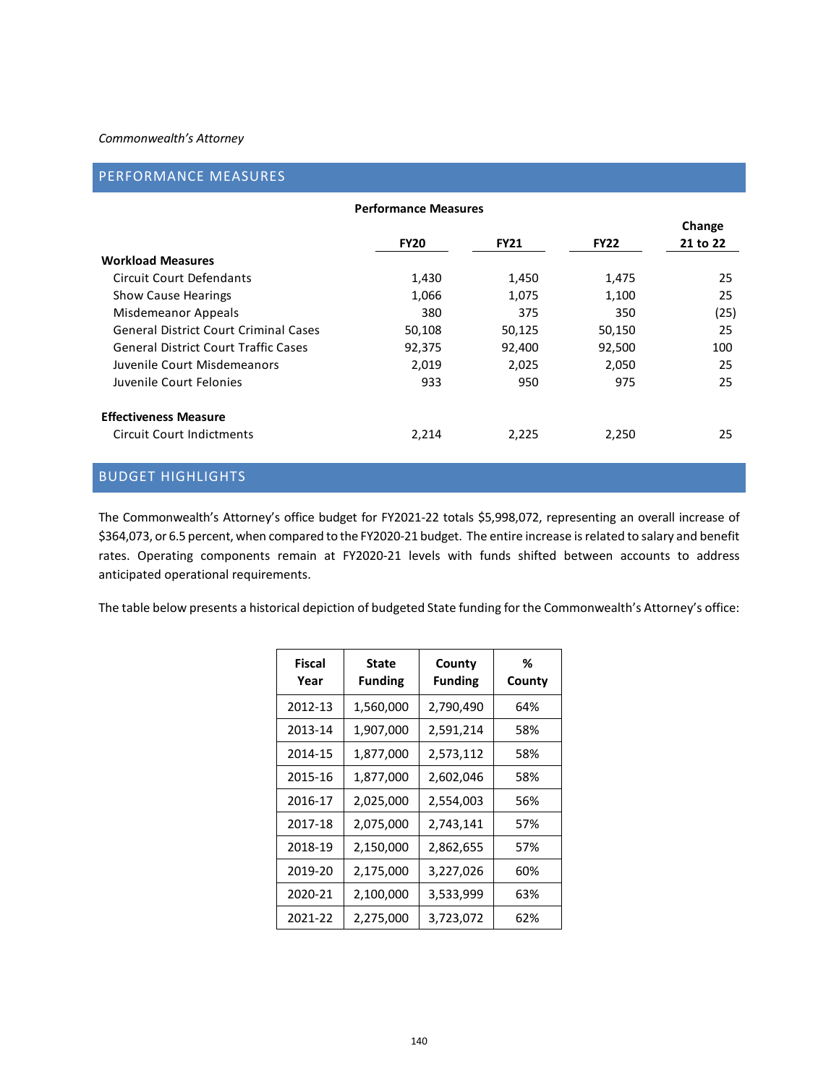#### *Commonwealth's Attorney*

## PERFORMANCE MEASURES

| <b>Performance Measures</b>                  |             |             |             |          |  |  |
|----------------------------------------------|-------------|-------------|-------------|----------|--|--|
|                                              |             |             |             | Change   |  |  |
|                                              | <b>FY20</b> | <b>FY21</b> | <b>FY22</b> | 21 to 22 |  |  |
| <b>Workload Measures</b>                     |             |             |             |          |  |  |
| Circuit Court Defendants                     | 1,430       | 1,450       | 1,475       | 25       |  |  |
| <b>Show Cause Hearings</b>                   | 1,066       | 1,075       | 1,100       | 25       |  |  |
| Misdemeanor Appeals                          | 380         | 375         | 350         | (25)     |  |  |
| <b>General District Court Criminal Cases</b> | 50,108      | 50,125      | 50,150      | 25       |  |  |
| <b>General District Court Traffic Cases</b>  | 92,375      | 92,400      | 92,500      | 100      |  |  |
| Juvenile Court Misdemeanors                  | 2,019       | 2,025       | 2,050       | 25       |  |  |
| Juvenile Court Felonies                      | 933         | 950         | 975         | 25       |  |  |
| <b>Effectiveness Measure</b>                 |             |             |             |          |  |  |
| <b>Circuit Court Indictments</b>             | 2,214       | 2,225       | 2,250       | 25       |  |  |
|                                              |             |             |             |          |  |  |

## BUDGET HIGHLIGHTS

The Commonwealth's Attorney's office budget for FY2021-22 totals \$5,998,072, representing an overall increase of \$364,073, or 6.5 percent, when compared to the FY2020-21 budget. The entire increase is related to salary and benefit rates. Operating components remain at FY2020-21 levels with funds shifted between accounts to address anticipated operational requirements.

The table below presents a historical depiction of budgeted State funding for the Commonwealth's Attorney's office:

| Fiscal<br>Year | <b>State</b><br><b>Funding</b> | County<br><b>Funding</b> | %<br>County |
|----------------|--------------------------------|--------------------------|-------------|
| 2012-13        | 1,560,000                      | 2,790,490                | 64%         |
| 2013-14        | 1,907,000                      | 2,591,214                | 58%         |
| 2014-15        | 1,877,000                      | 2,573,112                | 58%         |
| 2015-16        | 1,877,000                      | 2,602,046                | 58%         |
| 2016-17        | 2,025,000                      | 2,554,003                | 56%         |
| 2017-18        | 2,075,000                      | 2,743,141                | 57%         |
| 2018-19        | 2,150,000                      | 2,862,655                | 57%         |
| 2019-20        | 2,175,000                      | 3,227,026                | 60%         |
| 2020-21        | 2,100,000                      | 3,533,999                | 63%         |
| 2021-22        | 2,275,000                      | 3,723,072                | 62%         |